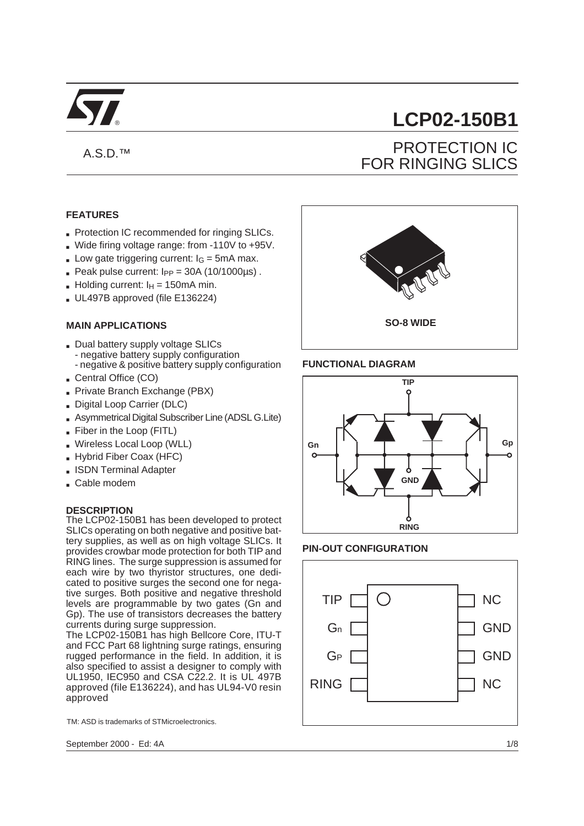

# A.S.D.™

# **FEATURES**

- Protection IC recommended for ringing SLICs.
- Wide firing voltage range: from -110V to +95V.
- **Low gate triggering current:**  $I_G = 5mA$  **max.**
- **Peak pulse current:**  $I_{PP} = 30A (10/1000 \mu s)$ .
- Holding current:  $I_H = 150 \text{mA min}$ .
- UL497B approved (file E136224)

## **MAIN APPLICATIONS**

- Dual battery supply voltage SLICs - negative battery supply configuration - negative & positive battery supply configuration
- Central Office (CO)
- Private Branch Exchange (PBX)
- Digital Loop Carrier (DLC)
- Asymmetrical Digital Subscriber Line (ADSL G.Lite)
- Fiber in the Loop (FITL)
- Wireless Local Loop (WLL)
- Hybrid Fiber Coax (HFC)
- **BISDN Terminal Adapter**
- Cable modem

#### **DESCRIPTION**

The LCP02-150B1 has been developed to protect SLICs operating on both negative and positive battery supplies, as well as on high voltage SLICs. It provides crowbar mode protection for both TIP and RING lines. The surge suppression is assumed for each wire by two thyristor structures, one dedicated to positive surges the second one for negative surges. Both positive and negative threshold levels are programmable by two gates (Gn and Gp). The use of transistors decreases the battery currents during surge suppression.

The LCP02-150B1 has high Bellcore Core, ITU-T and FCC Part 68 lightning surge ratings, ensuring rugged performance in the field. In addition, it is also specified to assist a designer to comply with UL1950, IEC950 and CSA C22.2. It is UL 497B approved (file E136224), and has UL94-V0 resin approved

TM: ASD is trademarks of STMicroelectronics.

September 2000 - Ed: 4A

# ® **LCP02-150B1**

# PROTECTION IC FOR RINGING SLICS



#### **FUNCTIONAL DIAGRAM**



#### **PIN-OUT CONFIGURATION**

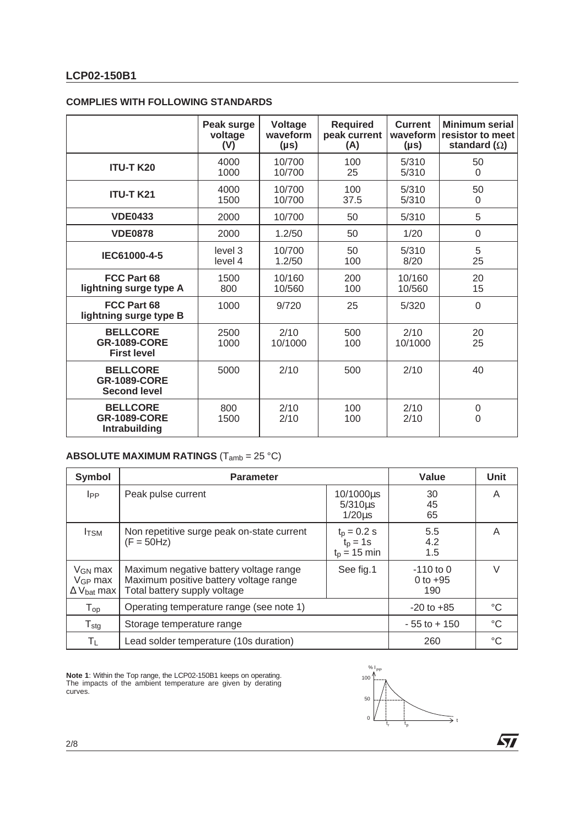|                                                               | Peak surge<br>voltage<br>(V) | Voltage<br>waveform<br>$(\mu s)$ | <b>Required</b><br>peak current<br>(A) | <b>Current</b><br>waveform<br>(µs) | <b>Minimum serial</b><br>resistor to meet<br>standard $(\Omega)$ |
|---------------------------------------------------------------|------------------------------|----------------------------------|----------------------------------------|------------------------------------|------------------------------------------------------------------|
| <b>ITU-T K20</b>                                              | 4000<br>1000                 | 10/700<br>10/700                 | 100<br>25                              | 5/310<br>5/310                     | 50<br>$\Omega$                                                   |
| <b>ITU-T K21</b>                                              | 4000<br>1500                 | 10/700<br>10/700                 | 100<br>37.5                            | 5/310<br>5/310                     | 50<br>$\overline{0}$                                             |
| <b>VDE0433</b>                                                | 2000                         | 10/700                           | 50                                     | 5/310                              | 5                                                                |
| <b>VDE0878</b>                                                | 2000                         | 1.2/50                           | 50                                     | 1/20                               | $\overline{0}$                                                   |
| IEC61000-4-5                                                  | level 3<br>level 4           | 10/700<br>1.2/50                 | 50<br>100                              | 5/310<br>8/20                      | 5<br>25                                                          |
| FCC Part 68<br>lightning surge type A                         | 1500<br>800                  | 10/160<br>10/560                 | 200<br>100                             | 10/160<br>10/560                   | 20<br>15                                                         |
| FCC Part 68<br>lightning surge type B                         | 1000                         | 9/720                            | 25                                     | 5/320                              | $\Omega$                                                         |
| <b>BELLCORE</b><br><b>GR-1089-CORE</b><br><b>First level</b>  | 2500<br>1000                 | 2/10<br>10/1000                  | 500<br>100                             | 2/10<br>10/1000                    | 20<br>25                                                         |
| <b>BELLCORE</b><br><b>GR-1089-CORE</b><br><b>Second level</b> | 5000                         | 2/10                             | 500                                    | 2/10                               | 40                                                               |
| <b>BELLCORE</b><br><b>GR-1089-CORE</b><br>Intrabuilding       | 800<br>1500                  | 2/10<br>2/10                     | 100<br>100                             | 2/10<br>2/10                       | $\mathbf 0$<br>$\overline{0}$                                    |

#### **COMPLIES WITH FOLLOWING STANDARDS**

# **ABSOLUTE MAXIMUM RATINGS** (Tamb = 25 °C)

| <b>Symbol</b>                                                 | <b>Parameter</b>                                                                                                 | Value                                        | <b>Unit</b>                      |   |
|---------------------------------------------------------------|------------------------------------------------------------------------------------------------------------------|----------------------------------------------|----------------------------------|---|
| <b>I</b> PP                                                   | Peak pulse current                                                                                               | 10/1000us<br>$5/310\mu s$<br>$1/20\mu s$     | 30<br>45<br>65                   | A |
| <b>I</b> TSM                                                  | Non repetitive surge peak on-state current<br>$(F = 50Hz)$                                                       | $t_p = 0.2$ s<br>$t_p = 1s$<br>$tD = 15$ min | 5.5<br>4.2<br>1.5                | A |
| $V_{GN}$ max<br>$V_{GP}$ max<br>$\Delta$ V <sub>bat</sub> max | Maximum negative battery voltage range<br>Maximum positive battery voltage range<br>Total battery supply voltage | See fig.1                                    | $-110$ to 0<br>0 to $+95$<br>190 | V |
| $\mathsf{T}_{\mathsf{op}}$                                    | Operating temperature range (see note 1)                                                                         | $-20$ to $+85$                               | °C                               |   |
| ${\mathsf T}_{\textsf{stg}}$                                  | Storage temperature range                                                                                        | $-55$ to $+150$                              | $^{\circ}C$                      |   |
| ΤL                                                            | Lead solder temperature (10s duration)                                                                           | 260                                          | °C                               |   |

**Note 1**: Within the Top range, the LCP02-150B1 keeps on operating. The impacts of the ambient temperature are given by derating curves.



2/8

 $\sqrt{2}$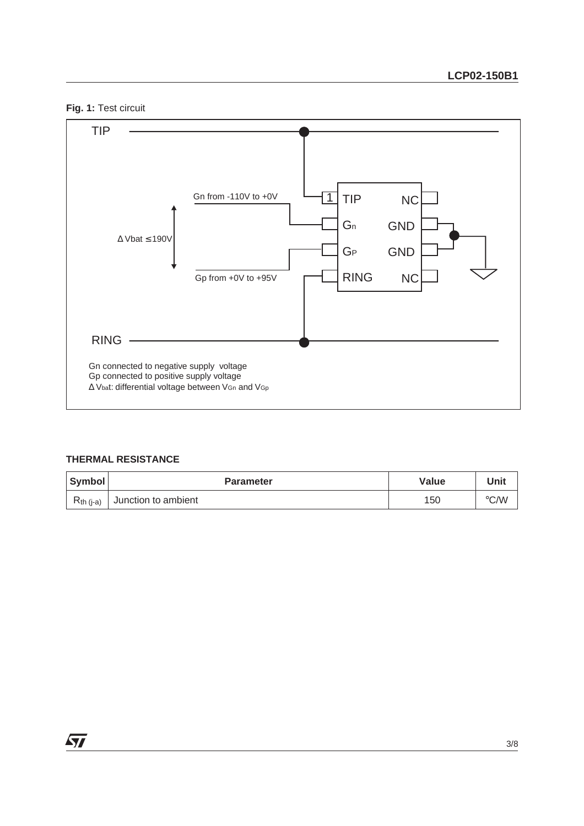**Fig. 1:** Test circuit



# **THERMAL RESISTANCE**

| Symbol         | <b>Parameter</b>    | Value | Unit               |
|----------------|---------------------|-------|--------------------|
| $R_{th (i-a)}$ | Junction to ambient | 150   | $\rm ^{\circ}$ C/W |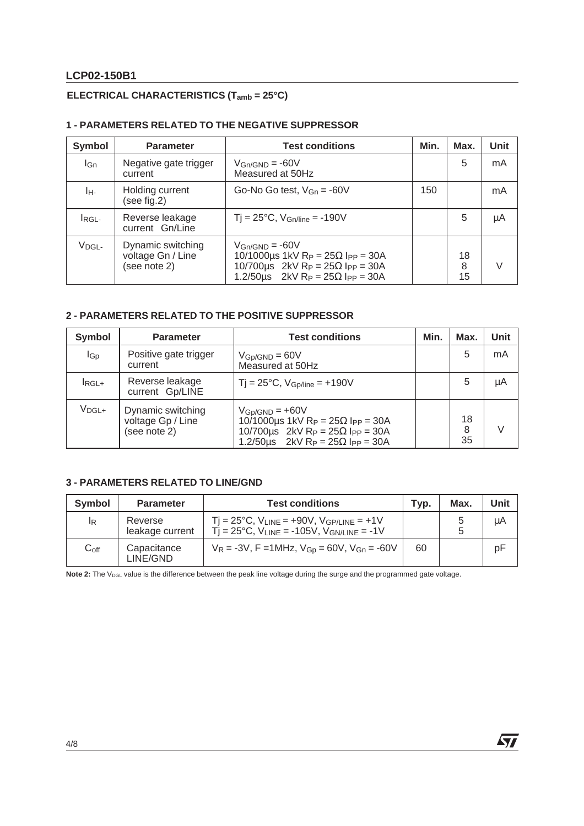# **LCP02-150B1**

# **ELECTRICAL CHARACTERISTICS (Tamb = 25°C)**

# **1 - PARAMETERS RELATED TO THE NEGATIVE SUPPRESSOR**

| <b>Symbol</b>     | <b>Parameter</b>                                       | <b>Test conditions</b>                                                                                                                                           | Min. | Max.          | Unit |
|-------------------|--------------------------------------------------------|------------------------------------------------------------------------------------------------------------------------------------------------------------------|------|---------------|------|
| lGn               | Negative gate trigger<br>current                       | $V_{\text{GN}/\text{GND}}$ = -60V<br>Measured at 50Hz                                                                                                            |      | 5             | mA   |
| IH-               | Holding current<br>(see fig.2)                         | Go-No Go test, $V_{\text{Gn}} = -60V$                                                                                                                            | 150  |               | mA   |
| IRGL-             | Reverse leakage<br>current Gn/Line                     | $Tj = 25^{\circ}C$ , $V_{Gn/line} = -190V$                                                                                                                       |      | 5             | μA   |
| V <sub>DGL-</sub> | Dynamic switching<br>voltage Gn / Line<br>(see note 2) | $V_{\text{GN}/\text{GND}}$ = -60V<br>10/1000µs 1kV Rp = $25\Omega$ lpp = 30A<br>10/700us 2kV Rp = $25\Omega$ lpp = 30A<br>1.2/50us 2kV Rp = $25\Omega$ lpp = 30A |      | 18<br>8<br>15 |      |

## **2 - PARAMETERS RELATED TO THE POSITIVE SUPPRESSOR**

| <b>Symbol</b>     | <b>Parameter</b>                                       | <b>Test conditions</b>                                                                                                                                                                                    | Min. | Max.          | Unit |
|-------------------|--------------------------------------------------------|-----------------------------------------------------------------------------------------------------------------------------------------------------------------------------------------------------------|------|---------------|------|
| $I_{\text{Gp}}$   | Positive gate trigger<br>current                       | $V_{GD/GND} = 60V$<br>Measured at 50Hz                                                                                                                                                                    |      | 5             | mA   |
| $I_{RGL+}$        | Reverse leakage<br>current Gp/LINE                     | $Tj = 25^{\circ}C$ , $V_{Gp/line} = +190V$                                                                                                                                                                |      | 5             | μA   |
| V <sub>DGL+</sub> | Dynamic switching<br>voltage Gp / Line<br>(see note 2) | $V_{GD/GND} = +60V$<br>10/1000µs 1kV R <sub>P</sub> = $25\Omega$ l <sub>PP</sub> = 30A<br>10/700us 2kV Rp = $25\Omega$ lpp = 30A<br>1.2/50 $\mu$ s 2kV R <sub>P</sub> = 25 $\Omega$ l <sub>PP</sub> = 30A |      | 18<br>8<br>35 |      |

# **3 - PARAMETERS RELATED TO LINE/GND**

| Symbol             | <b>Parameter</b>           | <b>Test conditions</b>                                                                                                                                      | Tvp. | Max. | Unit |
|--------------------|----------------------------|-------------------------------------------------------------------------------------------------------------------------------------------------------------|------|------|------|
| <sup>I</sup> R     | Reverse<br>leakage current | $Tj = 25^{\circ}C$ , $V_{LINE} = +90V$ , $V_{GP/LINE} = +1V$<br>$\overline{T}$ $\overline{I}$ = 25°C, V <sub>LINE</sub> = -105V, V <sub>GN/LINE</sub> = -1V |      |      | μA   |
| $\mathrm{C_{off}}$ | Capacitance<br>LINE/GND    | $V_R = -3V$ , F = 1MHz, $V_{GD} = 60V$ , $V_{Gn} = -60V$                                                                                                    | 60   |      | pF   |

Note 2: The V<sub>DGL</sub> value is the difference between the peak line voltage during the surge and the programmed gate voltage.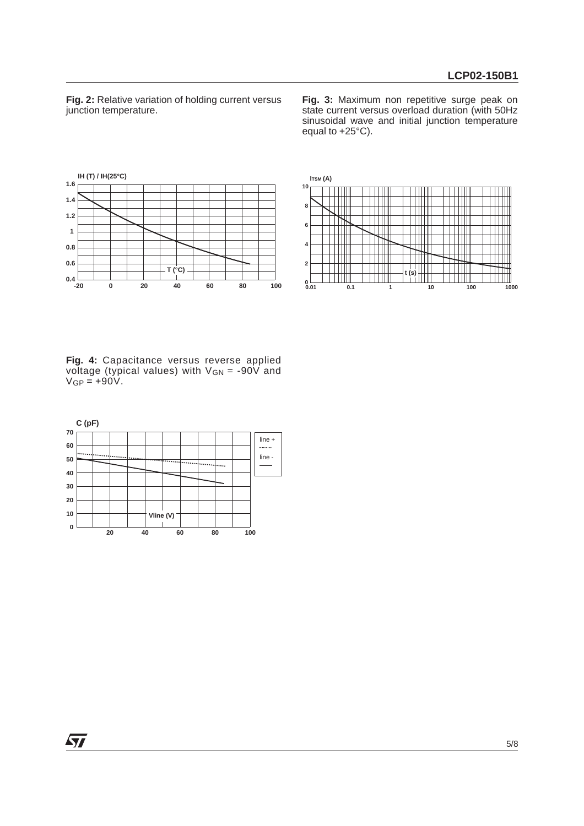**Fig. 2:** Relative variation of holding current versus junction temperature.

**Fig. 3:** Maximum non repetitive surge peak on state current versus overload duration (with 50Hz sinusoidal wave and initial junction temperature equal to +25°C).





**Fig. 4:** Capacitance versus reverse applied voltage (typical values) with V<sub>GN</sub> = -90V and  $V_{GP} = +90V$ .

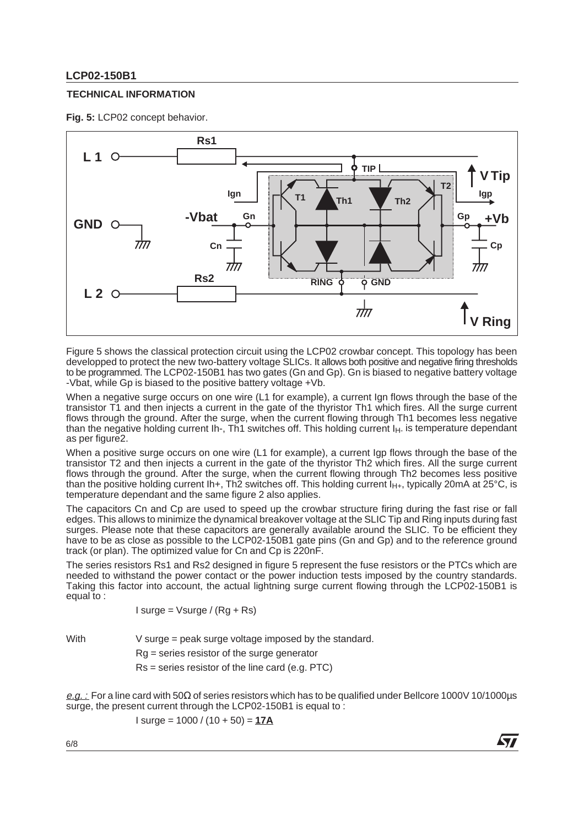# **LCP02-150B1**

#### **TECHNICAL INFORMATION**

**Fig. 5:** LCP02 concept behavior.



Figure 5 shows the classical protection circuit using the LCP02 crowbar concept. This topology has been developped to protect the new two-battery voltage SLICs. It allows both positive and negative firing thresholds to be programmed. The LCP02-150B1 has two gates (Gn and Gp). Gn is biased to negative battery voltage -Vbat, while Gp is biased to the positive battery voltage +Vb.

When a negative surge occurs on one wire (L1 for example), a current Ign flows through the base of the transistor T1 and then injects a current in the gate of the thyristor Th1 which fires. All the surge current flows through the ground. After the surge, when the current flowing through Th1 becomes less negative than the negative holding current Ih-, Th1 switches off. This holding current I<sub>H</sub>- is temperature dependant as per figure2.

When a positive surge occurs on one wire (L1 for example), a current Igp flows through the base of the transistor T2 and then injects a current in the gate of the thyristor Th2 which fires. All the surge current flows through the ground. After the surge, when the current flowing through Th2 becomes less positive than the positive holding current Ih+, Th2 switches off. This holding current  $I_{H+}$ , typically 20mA at 25°C, is temperature dependant and the same figure 2 also applies.

The capacitors Cn and Cp are used to speed up the crowbar structure firing during the fast rise or fall edges. This allows to minimize the dynamical breakover voltage at the SLIC Tip and Ring inputs during fast surges. Please note that these capacitors are generally available around the SLIC. To be efficient they have to be as close as possible to the LCP02-150B1 gate pins (Gn and Gp) and to the reference ground track (or plan). The optimized value for Cn and Cp is 220nF.

The series resistors Rs1 and Rs2 designed in figure 5 represent the fuse resistors or the PTCs which are needed to withstand the power contact or the power induction tests imposed by the country standards. Taking this factor into account, the actual lightning surge current flowing through the LCP02-150B1 is equal to :

$$
1
$$
 surge =  $\sqrt{2}$  (Rg + Rs)

With V surge = peak surge voltage imposed by the standard.

Rg = series resistor of the surge generator

Rs = series resistor of the line card (e.g. PTC)

e.g. : For a line card with 50Ω of series resistors which has to be qualified under Bellcore 1000V 10/1000μs surge, the present current through the LCP02-150B1 is equal to :

477

$$
1 \text{ surge} = 1000 / (10 + 50) = 17A
$$

6/8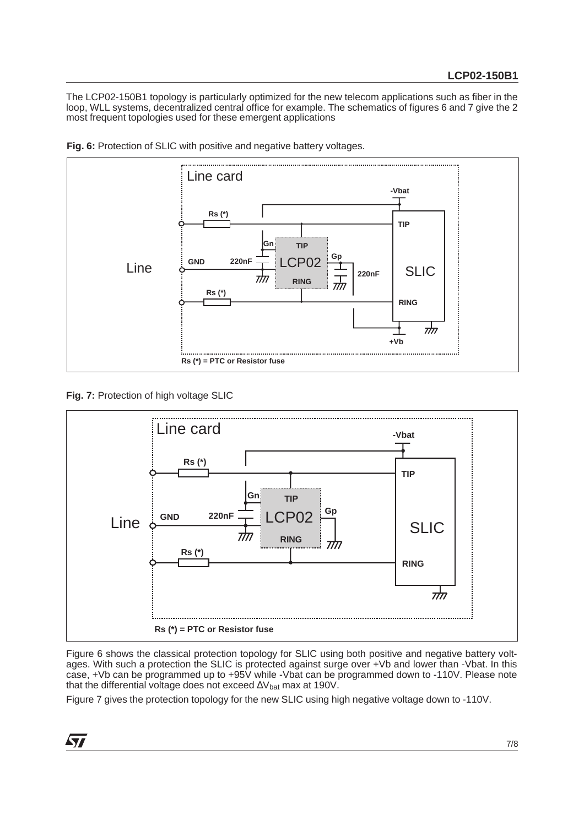The LCP02-150B1 topology is particularly optimized for the new telecom applications such as fiber in the loop, WLL systems, decentralized central office for example. The schematics of figures 6 and 7 give the 2 most frequent topologies used for these emergent applications



**Fig. 6:** Protection of SLIC with positive and negative battery voltages.

**Fig. 7:** Protection of high voltage SLIC



Figure 6 shows the classical protection topology for SLIC using both positive and negative battery voltages. With such a protection the SLIC is protected against surge over +Vb and lower than -Vbat. In this case, +Vb can be programmed up to +95V while -Vbat can be programmed down to -110V. Please note that the differential voltage does not exceed ∆V<sub>bat</sub> max at 190V.

Figure 7 gives the protection topology for the new SLIC using high negative voltage down to -110V.